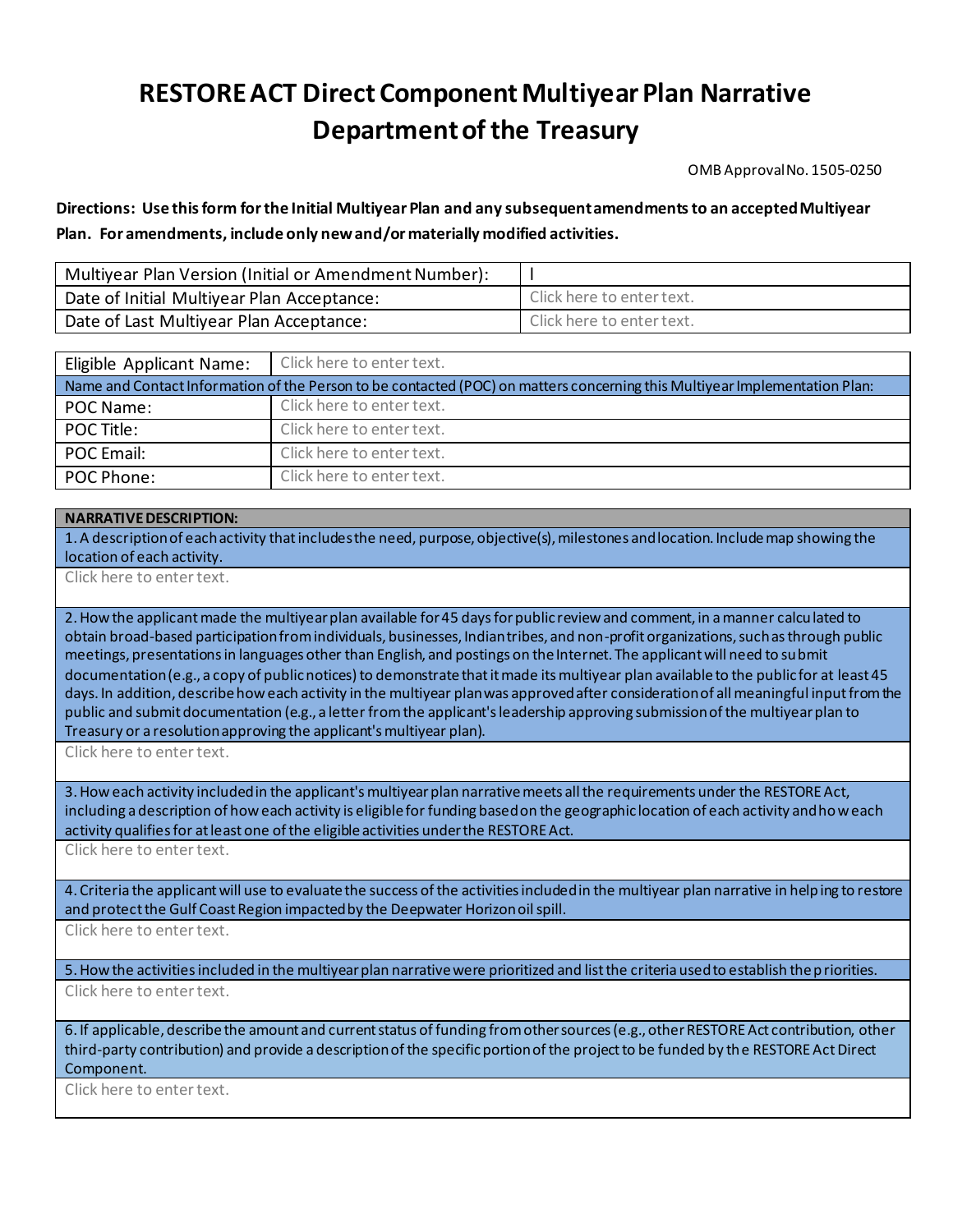## **RESTORE ACT Direct Component Multiyear Plan Narrative Department of the Treasury**

OMB Approval No. 1505-0250

**Directions: Use this form for the Initial Multiyear Plan and any subsequent amendments to an accepted Multiyear Plan. For amendments, include only new and/or materially modified activities.**

| Multiyear Plan Version (Initial or Amendment Number): |                           |
|-------------------------------------------------------|---------------------------|
| Date of Initial Multiyear Plan Acceptance:            | Click here to enter text. |
| Date of Last Multiyear Plan Acceptance:               | Click here to enter text. |

| Eligible Applicant Name:                                                                                                   | Click here to enter text. |  |
|----------------------------------------------------------------------------------------------------------------------------|---------------------------|--|
| Name and Contact Information of the Person to be contacted (POC) on matters concerning this Multiyear Implementation Plan: |                           |  |
| POC Name:                                                                                                                  | Click here to enter text. |  |
| POC Title:                                                                                                                 | Click here to enter text. |  |
| POC Email:                                                                                                                 | Click here to enter text. |  |
| POC Phone:                                                                                                                 | Click here to enter text. |  |

## **NARRATIVE DESCRIPTION:**

1. A description of each activity that includesthe need, purpose, objective(s), milestones and location. Include map showing the location of each activity.

Click here to enter text.

2. How the applicant made the multiyear plan available for 45 days for public review and comment, in a manner calculated to obtain broad-based participation from individuals, businesses, Indian tribes, and non-profit organizations, such as through public meetings, presentations in languages other than English, and postings on the Internet. The applicant will need to submit documentation (e.g., a copy of public notices) to demonstrate that it made its multiyear plan available to the public for at least 45 days. In addition, describe how each activity in the multiyear plan was approved after consideration of all meaningful input from the public and submit documentation (e.g., a letter from the applicant's leadership approving submission of the multiyear plan to Treasury or a resolution approving the applicant's multiyear plan).

Click here to enter text.

3. How each activity included in the applicant's multiyear plan narrative meets all the requirements under the RESTORE Act, including a description of how each activity is eligible for funding based on the geographic location of each activity and how each activity qualifies for at least one of the eligible activities under the RESTORE Act.

Click here to enter text.

4. Criteria the applicant will use to evaluate the success of the activities included in the multiyear plan narrative in helping to restore and protect the Gulf Coast Region impacted by the Deepwater Horizon oil spill.

Click here to enter text.

5. How the activities included in the multiyear plan narrative were prioritized and list the criteria used to establish the priorities. Click here to enter text.

6. If applicable, describe the amount and current status of funding from other sources (e.g., other RESTORE Act contribution, other third-party contribution) and provide a description of the specific portion of the project to be funded by the RESTORE Act Direct Component.

Click here to enter text.